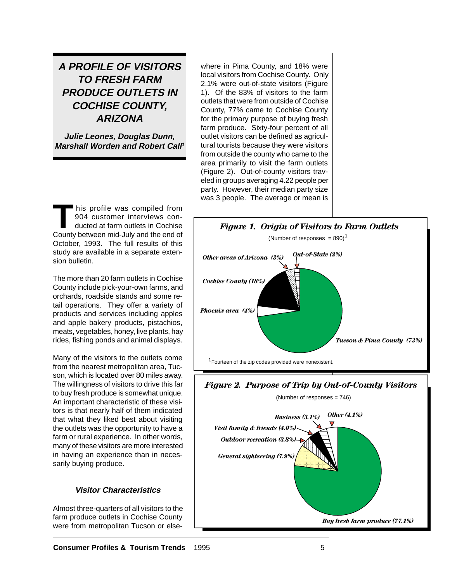# **A PROFILE OF VISITORS TO FRESH FARM PRODUCE OUTLETS IN COCHISE COUNTY, ARIZONA**

**Julie Leones, Douglas Dunn, Marshall Worden and Robert Call<sup>1</sup>**

THE STRING WAS COMPILED TO THE STRING OF THE STRING OF THE STRING OF THE STRING OF THE STRING OF THE STRING OF THE STRING OF THE STRING OF THE STRING OF THE STRING OF THE STRING OF THE STRING OF THE STRING OF THE STRING OF 904 customer interviews con-County between mid-July and the end of October, 1993. The full results of this study are available in a separate extension bulletin.

The more than 20 farm outlets in Cochise County include pick-your-own farms, and orchards, roadside stands and some retail operations. They offer a variety of products and services including apples and apple bakery products, pistachios, meats, vegetables, honey, live plants, hay rides, fishing ponds and animal displays.

Many of the visitors to the outlets come from the nearest metropolitan area, Tucson, which is located over 80 miles away. The willingness of visitors to drive this far to buy fresh produce is somewhat unique. An important characteristic of these visitors is that nearly half of them indicated that what they liked best about visiting the outlets was the opportunity to have a farm or rural experience. In other words, many of these visitors are more interested in having an experience than in necessarily buying produce.

# **Visitor Characteristics**

Almost three-quarters of all visitors to the farm produce outlets in Cochise County were from metropolitan Tucson or elsewhere in Pima County, and 18% were local visitors from Cochise County. Only 2.1% were out-of-state visitors (Figure 1). Of the 83% of visitors to the farm outlets that were from outside of Cochise County, 77% came to Cochise County for the primary purpose of buying fresh farm produce. Sixty-four percent of all outlet visitors can be defined as agricultural tourists because they were visitors from outside the county who came to the area primarily to visit the farm outlets (Figure 2). Out-of-county visitors traveled in groups averaging 4.22 people per party. However, their median party size was 3 people. The average or mean is

*General sightseeing (7.9%)*



*Buy fresh farm produce (77.1%)*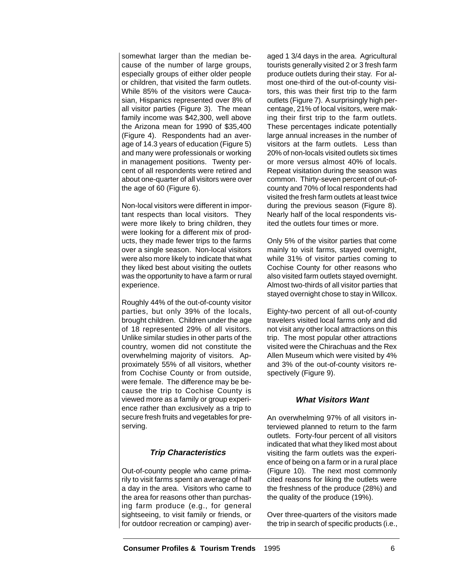somewhat larger than the median because of the number of large groups, especially groups of either older people or children, that visited the farm outlets. While 85% of the visitors were Caucasian, Hispanics represented over 8% of all visitor parties (Figure 3). The mean family income was \$42,300, well above the Arizona mean for 1990 of \$35,400 (Figure 4). Respondents had an average of 14.3 years of education (Figure 5) and many were professionals or working in management positions. Twenty percent of all respondents were retired and about one-quarter of all visitors were over the age of 60 (Figure 6).

Non-local visitors were different in important respects than local visitors. They were more likely to bring children, they were looking for a different mix of products, they made fewer trips to the farms over a single season. Non-local visitors were also more likely to indicate that what they liked best about visiting the outlets was the opportunity to have a farm or rural experience.

Roughly 44% of the out-of-county visitor parties, but only 39% of the locals, brought children. Children under the age of 18 represented 29% of all visitors. Unlike similar studies in other parts of the country, women did not constitute the overwhelming majority of visitors. Approximately 55% of all visitors, whether from Cochise County or from outside, were female. The difference may be because the trip to Cochise County is viewed more as a family or group experience rather than exclusively as a trip to secure fresh fruits and vegetables for preserving.

# **Trip Characteristics**

Out-of-county people who came primarily to visit farms spent an average of half a day in the area. Visitors who came to the area for reasons other than purchasing farm produce (e.g., for general sightseeing, to visit family or friends, or for outdoor recreation or camping) averaged 1 3/4 days in the area. Agricultural tourists generally visited 2 or 3 fresh farm produce outlets during their stay. For almost one-third of the out-of-county visitors, this was their first trip to the farm outlets (Figure 7). A surprisingly high percentage, 21% of local visitors, were making their first trip to the farm outlets. These percentages indicate potentially large annual increases in the number of visitors at the farm outlets. Less than 20% of non-locals visited outlets six times or more versus almost 40% of locals. Repeat visitation during the season was common. Thirty-seven percent of out-ofcounty and 70% of local respondents had visited the fresh farm outlets at least twice during the previous season (Figure 8). Nearly half of the local respondents visited the outlets four times or more.

Only 5% of the visitor parties that come mainly to visit farms, stayed overnight, while 31% of visitor parties coming to Cochise County for other reasons who also visited farm outlets stayed overnight. Almost two-thirds of all visitor parties that stayed overnight chose to stay in Willcox.

Eighty-two percent of all out-of-county travelers visited local farms only and did not visit any other local attractions on this trip. The most popular other attractions visited were the Chirachuas and the Rex Allen Museum which were visited by 4% and 3% of the out-of-county visitors respectively (Figure 9).

# **What Visitors Want**

An overwhelming 97% of all visitors interviewed planned to return to the farm outlets. Forty-four percent of all visitors indicated that what they liked most about visiting the farm outlets was the experience of being on a farm or in a rural place (Figure 10). The next most commonly cited reasons for liking the outlets were the freshness of the produce (28%) and the quality of the produce (19%).

Over three-quarters of the visitors made the trip in search of specific products (i.e.,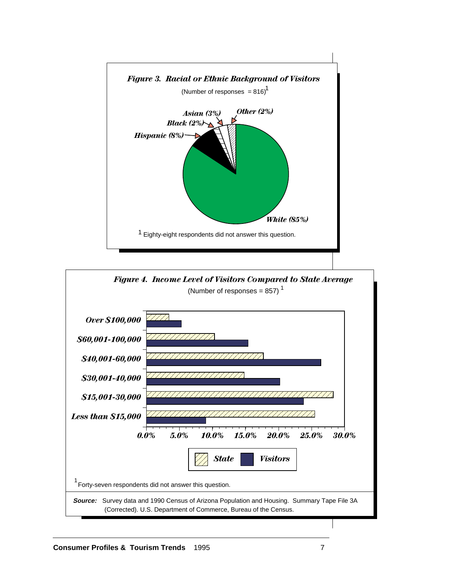

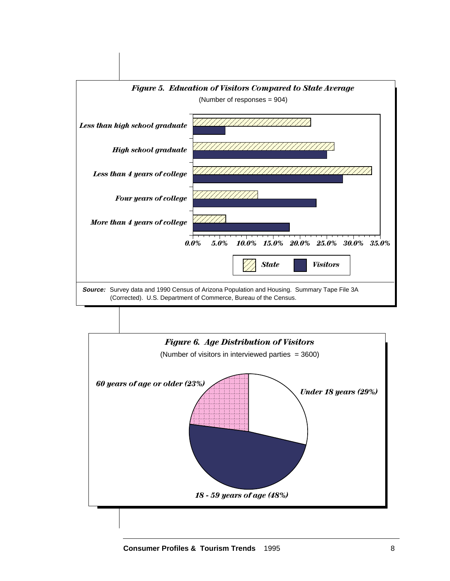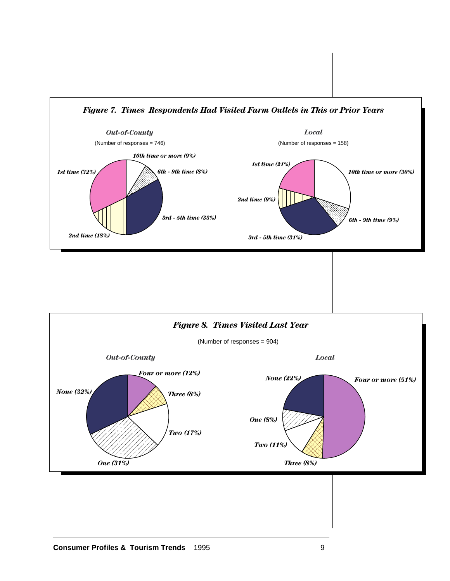

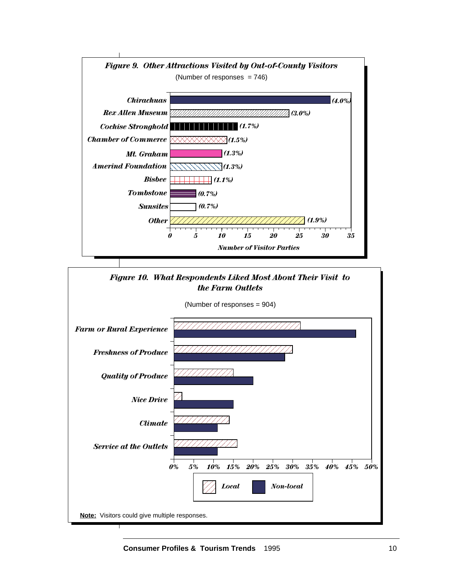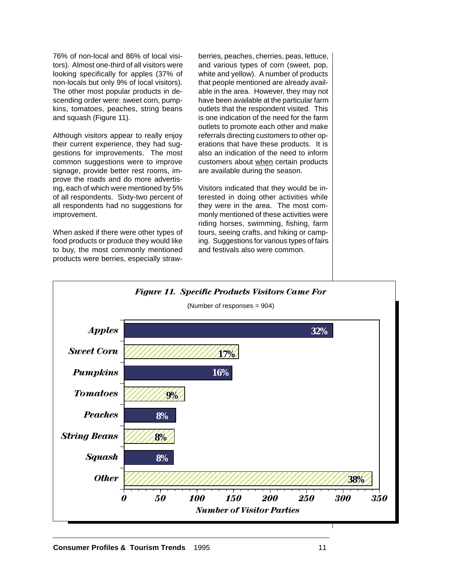76% of non-local and 86% of local visitors). Almost one-third of all visitors were looking specifically for apples (37% of non-locals but only 9% of local visitors). The other most popular products in descending order were: sweet corn, pumpkins, tomatoes, peaches, string beans and squash (Figure 11).

Although visitors appear to really enjoy their current experience, they had suggestions for improvements. The most common suggestions were to improve signage, provide better rest rooms, improve the roads and do more advertising, each of which were mentioned by 5% of all respondents. Sixty-two percent of all respondents had no suggestions for improvement.

When asked if there were other types of food products or produce they would like to buy, the most commonly mentioned products were berries, especially strawberries, peaches, cherries, peas, lettuce, and various types of corn (sweet, pop, white and yellow). A number of products that people mentioned are already available in the area. However, they may not have been available at the particular farm outlets that the respondent visited. This is one indication of the need for the farm outlets to promote each other and make referrals directing customers to other operations that have these products. It is also an indication of the need to inform customers about when certain products are available during the season.

Visitors indicated that they would be interested in doing other activities while they were in the area. The most commonly mentioned of these activities were riding horses, swimming, fishing, farm tours, seeing crafts, and hiking or camping. Suggestions for various types of fairs and festivals also were common.

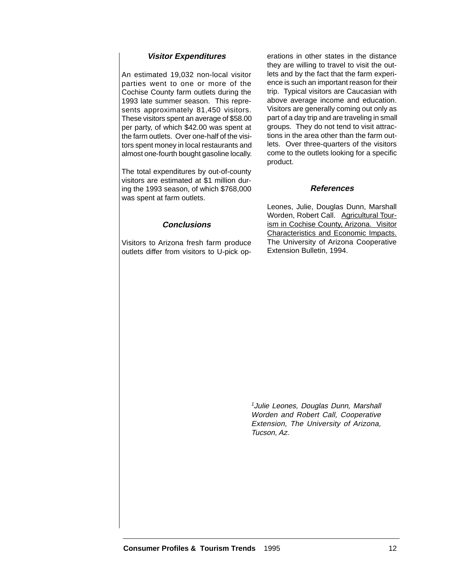# **Visitor Expenditures**

An estimated 19,032 non-local visitor parties went to one or more of the Cochise County farm outlets during the 1993 late summer season. This represents approximately 81,450 visitors. These visitors spent an average of \$58.00 per party, of which \$42.00 was spent at the farm outlets. Over one-half of the visitors spent money in local restaurants and almost one-fourth bought gasoline locally.

The total expenditures by out-of-county visitors are estimated at \$1 million during the 1993 season, of which \$768,000 was spent at farm outlets.

erations in other states in the distance they are willing to travel to visit the outlets and by the fact that the farm experience is such an important reason for their trip. Typical visitors are Caucasian with above average income and education. Visitors are generally coming out only as part of a day trip and are traveling in small groups. They do not tend to visit attractions in the area other than the farm outlets. Over three-quarters of the visitors come to the outlets looking for a specific product.

#### **References**

Leones, Julie, Douglas Dunn, Marshall

Worden, Robert Call. Agricultural Tourism in Cochise County, Arizona. Visitor Characteristics and Economic Impacts. The University of Arizona Cooperative

Extension Bulletin, 1994.

#### **Conclusions**

Visitors to Arizona fresh farm produce outlets differ from visitors to U-pick op-

> <sup>1</sup>Julie Leones, Douglas Dunn, Marshall Worden and Robert Call, Cooperative Extension, The University of Arizona, Tucson, Az.